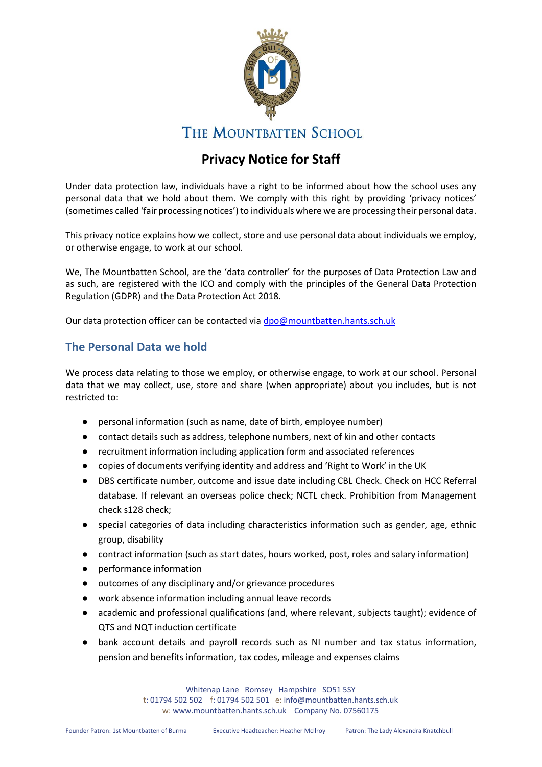

# **THE MOUNTBATTEN SCHOOL**

# **Privacy Notice for Staff**

Under data protection law, individuals have a right to be informed about how the school uses any personal data that we hold about them. We comply with this right by providing 'privacy notices' (sometimes called 'fair processing notices') to individuals where we are processing their personal data.

This privacy notice explains how we collect, store and use personal data about individuals we employ, or otherwise engage, to work at our school.

We, The Mountbatten School, are the 'data controller' for the purposes of Data Protection Law and as such, are registered with the ICO and comply with the principles of the General Data Protection Regulation (GDPR) and the Data Protection Act 2018.

Our data protection officer can be contacted via [dpo@mountbatten.hants.sch.uk](mailto:dpo@mountbatten.hants.sch.uk)

# **The Personal Data we hold**

We process data relating to those we employ, or otherwise engage, to work at our school. Personal data that we may collect, use, store and share (when appropriate) about you includes, but is not restricted to:

- personal information (such as name, date of birth, employee number)
- contact details such as address, telephone numbers, next of kin and other contacts
- recruitment information including application form and associated references
- copies of documents verifying identity and address and 'Right to Work' in the UK
- DBS certificate number, outcome and issue date including CBL Check. Check on HCC Referral database. If relevant an overseas police check; NCTL check. Prohibition from Management check s128 check;
- special categories of data including characteristics information such as gender, age, ethnic group, disability
- contract information (such as start dates, hours worked, post, roles and salary information)
- performance information
- outcomes of any disciplinary and/or grievance procedures
- work absence information including annual leave records
- academic and professional qualifications (and, where relevant, subjects taught); evidence of QTS and NQT induction certificate
- bank account details and payroll records such as NI number and tax status information, pension and benefits information, tax codes, mileage and expenses claims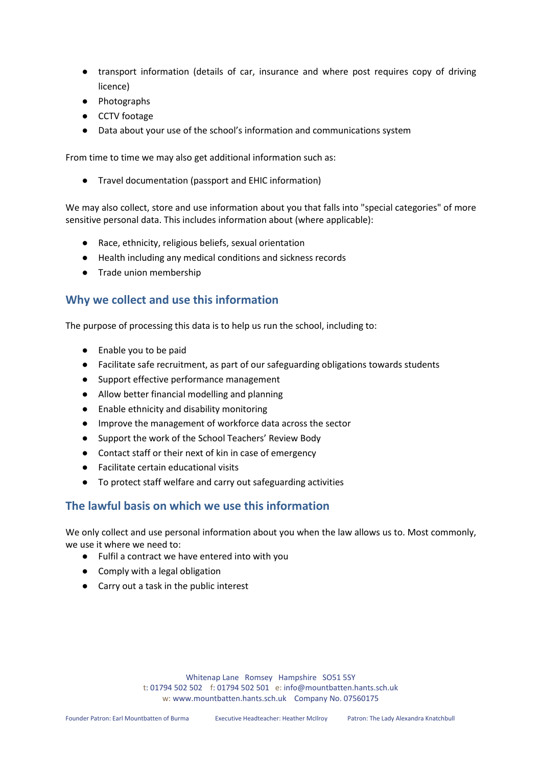- transport information (details of car, insurance and where post requires copy of driving licence)
- Photographs
- CCTV footage
- Data about your use of the school's information and communications system

From time to time we may also get additional information such as:

● Travel documentation (passport and EHIC information)

We may also collect, store and use information about you that falls into "special categories" of more sensitive personal data. This includes information about (where applicable):

- Race, ethnicity, religious beliefs, sexual orientation
- Health including any medical conditions and sickness records
- Trade union membership

### **Why we collect and use this information**

The purpose of processing this data is to help us run the school, including to:

- Enable you to be paid
- Facilitate safe recruitment, as part of our safeguarding obligations towards students
- Support effective performance management
- Allow better financial modelling and planning
- Enable ethnicity and disability monitoring
- Improve the management of workforce data across the sector
- Support the work of the School Teachers' Review Body
- Contact staff or their next of kin in case of emergency
- Facilitate certain educational visits
- To protect staff welfare and carry out safeguarding activities

# **The lawful basis on which we use this information**

We only collect and use personal information about you when the law allows us to. Most commonly, we use it where we need to:

- Fulfil a contract we have entered into with you
- Comply with a legal obligation
- Carry out a task in the public interest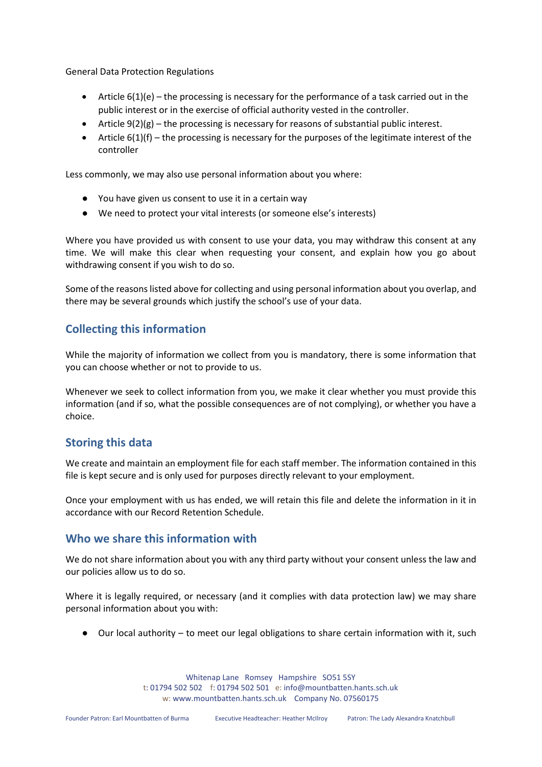General Data Protection Regulations

- Article  $6(1)(e)$  the processing is necessary for the performance of a task carried out in the public interest or in the exercise of official authority vested in the controller.
- Article  $9(2)(g)$  the processing is necessary for reasons of substantial public interest.
- Article 6(1)(f) the processing is necessary for the purposes of the legitimate interest of the controller

Less commonly, we may also use personal information about you where:

- You have given us consent to use it in a certain way
- We need to protect your vital interests (or someone else's interests)

Where you have provided us with consent to use your data, you may withdraw this consent at any time. We will make this clear when requesting your consent, and explain how you go about withdrawing consent if you wish to do so.

Some of the reasons listed above for collecting and using personal information about you overlap, and there may be several grounds which justify the school's use of your data.

### **Collecting this information**

While the majority of information we collect from you is mandatory, there is some information that you can choose whether or not to provide to us.

Whenever we seek to collect information from you, we make it clear whether you must provide this information (and if so, what the possible consequences are of not complying), or whether you have a choice.

### **Storing this data**

We create and maintain an employment file for each staff member. The information contained in this file is kept secure and is only used for purposes directly relevant to your employment.

Once your employment with us has ended, we will retain this file and delete the information in it in accordance with our Record Retention Schedule.

### **Who we share this information with**

We do not share information about you with any third party without your consent unless the law and our policies allow us to do so.

Where it is legally required, or necessary (and it complies with data protection law) we may share personal information about you with:

● Our local authority – to meet our legal obligations to share certain information with it, such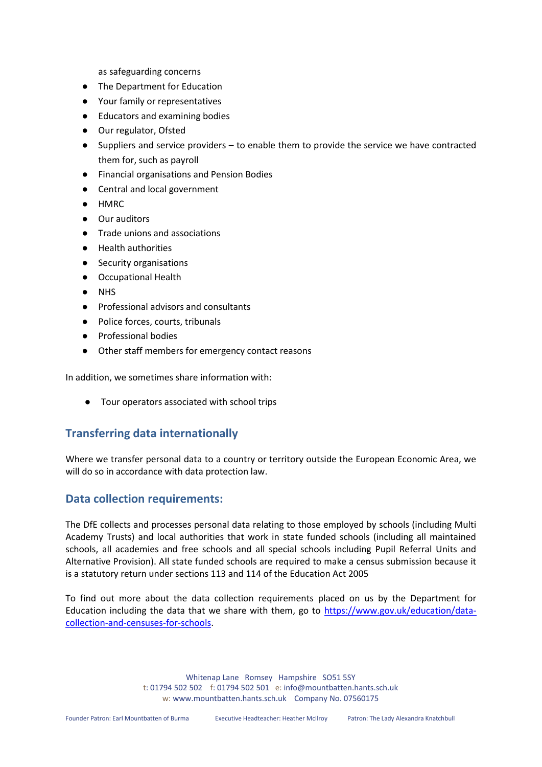as safeguarding concerns

- The Department for Education
- Your family or representatives
- Educators and examining bodies
- Our regulator, Ofsted
- Suppliers and service providers to enable them to provide the service we have contracted them for, such as payroll
- Financial organisations and Pension Bodies
- Central and local government
- HMRC
- Our auditors
- Trade unions and associations
- Health authorities
- Security organisations
- Occupational Health
- **NHS**
- Professional advisors and consultants
- Police forces, courts, tribunals
- Professional bodies
- Other staff members for emergency contact reasons

In addition, we sometimes share information with:

● Tour operators associated with school trips

# **Transferring data internationally**

Where we transfer personal data to a country or territory outside the European Economic Area, we will do so in accordance with data protection law.

### **Data collection requirements:**

The DfE collects and processes personal data relating to those employed by schools (including Multi Academy Trusts) and local authorities that work in state funded schools (including all maintained schools, all academies and free schools and all special schools including Pupil Referral Units and Alternative Provision). All state funded schools are required to make a census submission because it is a statutory return under sections 113 and 114 of the Education Act 2005

To find out more about the data collection requirements placed on us by the Department for Education including the data that we share with them, go to [https://www.gov.uk/education/data](https://www.gov.uk/education/data-collection-and-censuses-for-schools)[collection-and-censuses-for-schools.](https://www.gov.uk/education/data-collection-and-censuses-for-schools)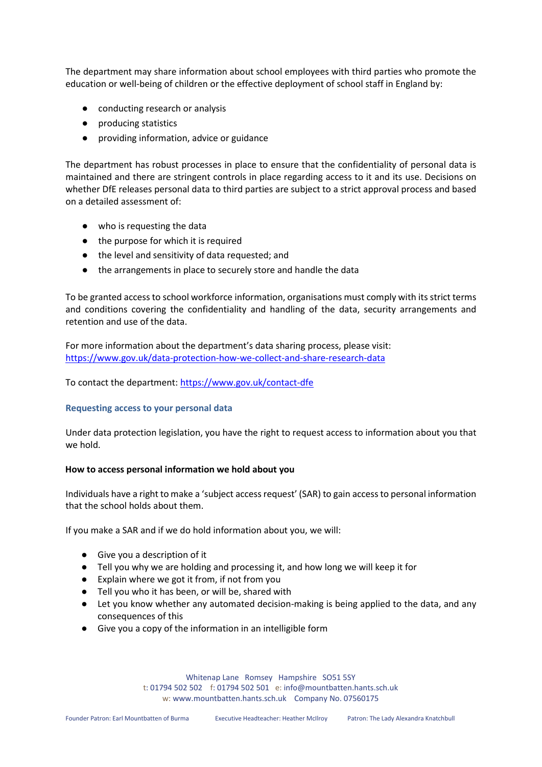The department may share information about school employees with third parties who promote the education or well-being of children or the effective deployment of school staff in England by:

- conducting research or analysis
- producing statistics
- providing information, advice or guidance

The department has robust processes in place to ensure that the confidentiality of personal data is maintained and there are stringent controls in place regarding access to it and its use. Decisions on whether DfE releases personal data to third parties are subject to a strict approval process and based on a detailed assessment of:

- who is requesting the data
- the purpose for which it is required
- the level and sensitivity of data requested; and
- the arrangements in place to securely store and handle the data

To be granted access to school workforce information, organisations must comply with its strict terms and conditions covering the confidentiality and handling of the data, security arrangements and retention and use of the data.

For more information about the department's data sharing process, please visit: <https://www.gov.uk/data-protection-how-we-collect-and-share-research-data>

To contact the department:<https://www.gov.uk/contact-dfe>

#### **Requesting access to your personal data**

Under data protection legislation, you have the right to request access to information about you that we hold.

#### **How to access personal information we hold about you**

Individuals have a right to make a 'subject access request' (SAR) to gain access to personal information that the school holds about them.

If you make a SAR and if we do hold information about you, we will:

- Give you a description of it
- Tell you why we are holding and processing it, and how long we will keep it for
- Explain where we got it from, if not from you
- Tell you who it has been, or will be, shared with
- Let you know whether any automated decision-making is being applied to the data, and any consequences of this
- Give you a copy of the information in an intelligible form